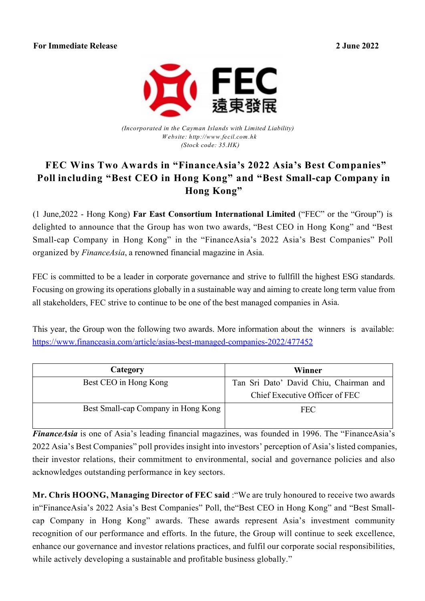**2 June 2022**



*(Incorporated in the Cayman Islands with Limited Liability) W ebsite : [http://www.fecil.com.hk](http://www.fecil.com.hk/) (Stock code: 35.HK)*

## **FEC Wins Two Awards in "FinanceAsia's 2022 Asia's Best Companies" Poll including "Best CEO in Hong Kong" and "Best Small-cap Company in Hong Kong"**

(1 June, 2022 - Hong Kong) **Far East Consortium International Limited** ("FEC" or the "Group") is delighted to announce that the Group has won two awards, "Best CEO in Hong Kong" and "Best Small-cap Company in Hong Kong" in the "FinanceAsia's 2022 Asia's Best Companies" Poll organized by *FinanceAsia*, a renowned financial magazine in Asia.

FEC is committed to be a leader in corporate governance and strive to fullfill the highest ESG standards. Focusing on growing its operations globally in a sustainable way and aiming to create long term value from all stakeholders, FEC strive to continue to be one of the best managed companies in Asia.

This year, the Group won the following two awards. More information about the winners is available: <https://www.financeasia.com/article/asias-best-managed-companies-2022/477452>

| Category                            | Winner                                                                   |
|-------------------------------------|--------------------------------------------------------------------------|
| Best CEO in Hong Kong               | Tan Sri Dato' David Chiu, Chairman and<br>Chief Executive Officer of FEC |
| Best Small-cap Company in Hong Kong | <b>FEC</b>                                                               |

*FinanceAsia* is one of Asia's leading financial magazines, was founded in 1996. The "FinanceAsia's 2022 Asia's Best Companies" poll provides insight into investors' perception of Asia's listed companies, their investor relations, their commitment to environmental, social and governance policies and also acknowledges outstanding performance in key sectors.

**Mr. Chris HOONG, Managing Director of FEC said** :"We are truly honoured to receive two awards in"FinanceAsia's 2022 Asia's Best Companies" Poll, the"Best CEO in Hong Kong" and "Best Smallcap Company in Hong Kong" awards. These awards represent Asia's investment community recognition of our performance and efforts. In the future, the Group will continue to seek excellence, enhance our governance and investor relations practices, and fulfil our corporate social responsibilities, while actively developing a sustainable and profitable business globally."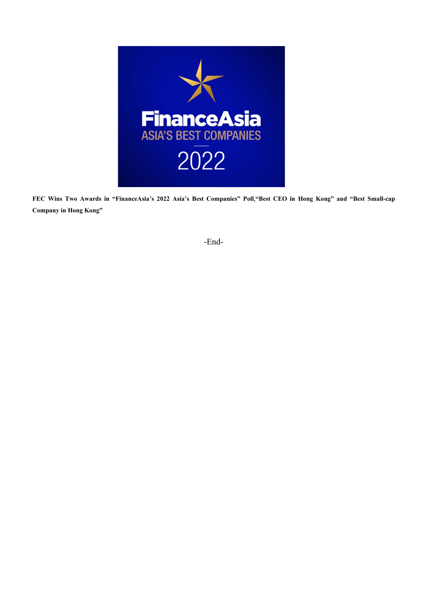

**FEC Wins Two Awards in "FinanceAsia's 2022 Asia's Best Companies" Poll,"Best CEO in Hong Kong" and "Best Small-cap Company in Hong Kong"**

-End-